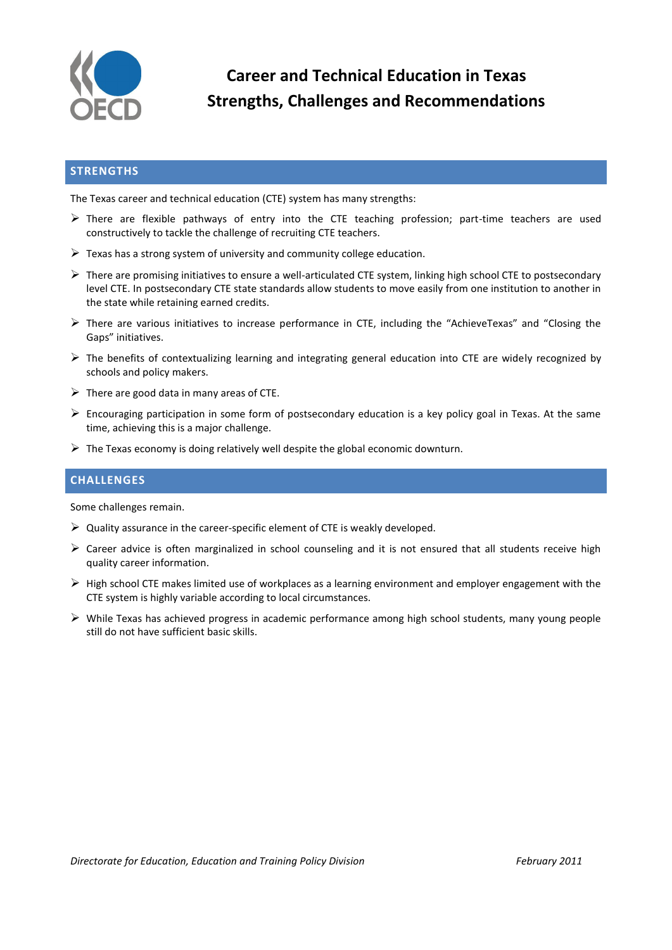

**Career and Technical Education in Texas Strengths, Challenges and Recommendations**

## **STRENGTHS**

The Texas career and technical education (CTE) system has many strengths:

- $\triangleright$  There are flexible pathways of entry into the CTE teaching profession; part-time teachers are used constructively to tackle the challenge of recruiting CTE teachers.
- $\triangleright$  Texas has a strong system of university and community college education.
- $\triangleright$  There are promising initiatives to ensure a well-articulated CTE system, linking high school CTE to postsecondary level CTE. In postsecondary CTE state standards allow students to move easily from one institution to another in the state while retaining earned credits.
- $\triangleright$  There are various initiatives to increase performance in CTE, including the "AchieveTexas" and "Closing the Gaps" initiatives.
- $\triangleright$  The benefits of contextualizing learning and integrating general education into CTE are widely recognized by schools and policy makers.
- $\triangleright$  There are good data in many areas of CTE.
- $\triangleright$  Encouraging participation in some form of postsecondary education is a key policy goal in Texas. At the same time, achieving this is a major challenge.
- $\triangleright$  The Texas economy is doing relatively well despite the global economic downturn.

## **CHALLENGES**

Some challenges remain.

- $\triangleright$  Quality assurance in the career-specific element of CTE is weakly developed.
- Career advice is often marginalized in school counseling and it is not ensured that all students receive high quality career information.
- $\triangleright$  High school CTE makes limited use of workplaces as a learning environment and employer engagement with the CTE system is highly variable according to local circumstances.
- $\triangleright$  While Texas has achieved progress in academic performance among high school students, many young people still do not have sufficient basic skills.